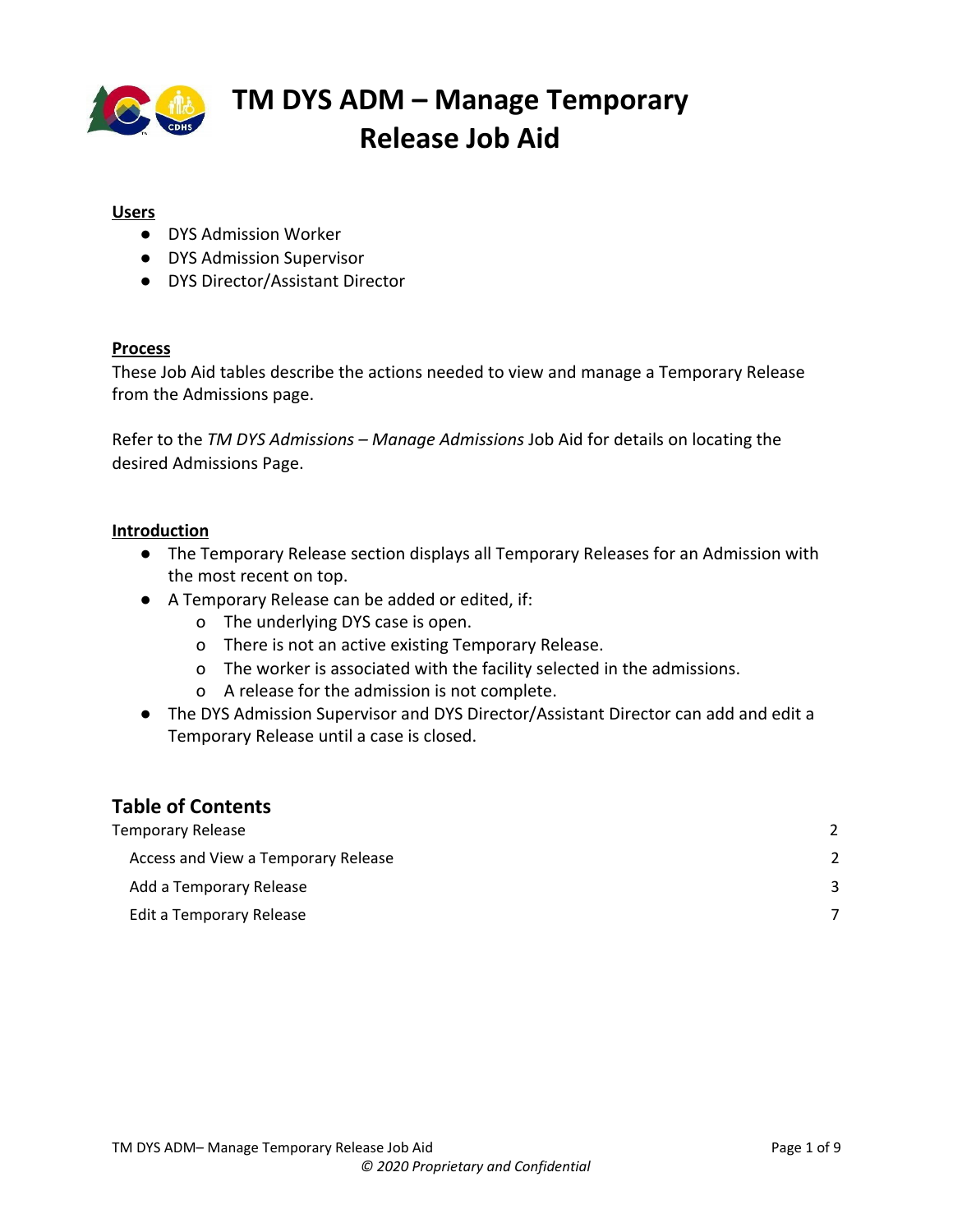

### **Users**

- DYS Admission Worker
- DYS Admission Supervisor
- DYS Director/Assistant Director

#### **Process**

These Job Aid tables describe the actions needed to view and manage a Temporary Release from the Admissions page.

Refer to the *TM DYS Admissions – Manage Admissions* Job Aid for details on locating the desired Admissions Page.

#### **Introduction**

- The Temporary Release section displays all Temporary Releases for an Admission with the most recent on top.
- A Temporary Release can be added or edited, if:
	- o The underlying DYS case is open.
	- o There is not an active existing Temporary Release.
	- o The worker is associated with the facility selected in the admissions.
	- o A release for the admission is not complete.
- The DYS Admission Supervisor and DYS Director/Assistant Director can add and edit a Temporary Release until a case is closed.

### **Table of Contents**

| Temporary Release                   |  |
|-------------------------------------|--|
| Access and View a Temporary Release |  |
| Add a Temporary Release             |  |
| Edit a Temporary Release            |  |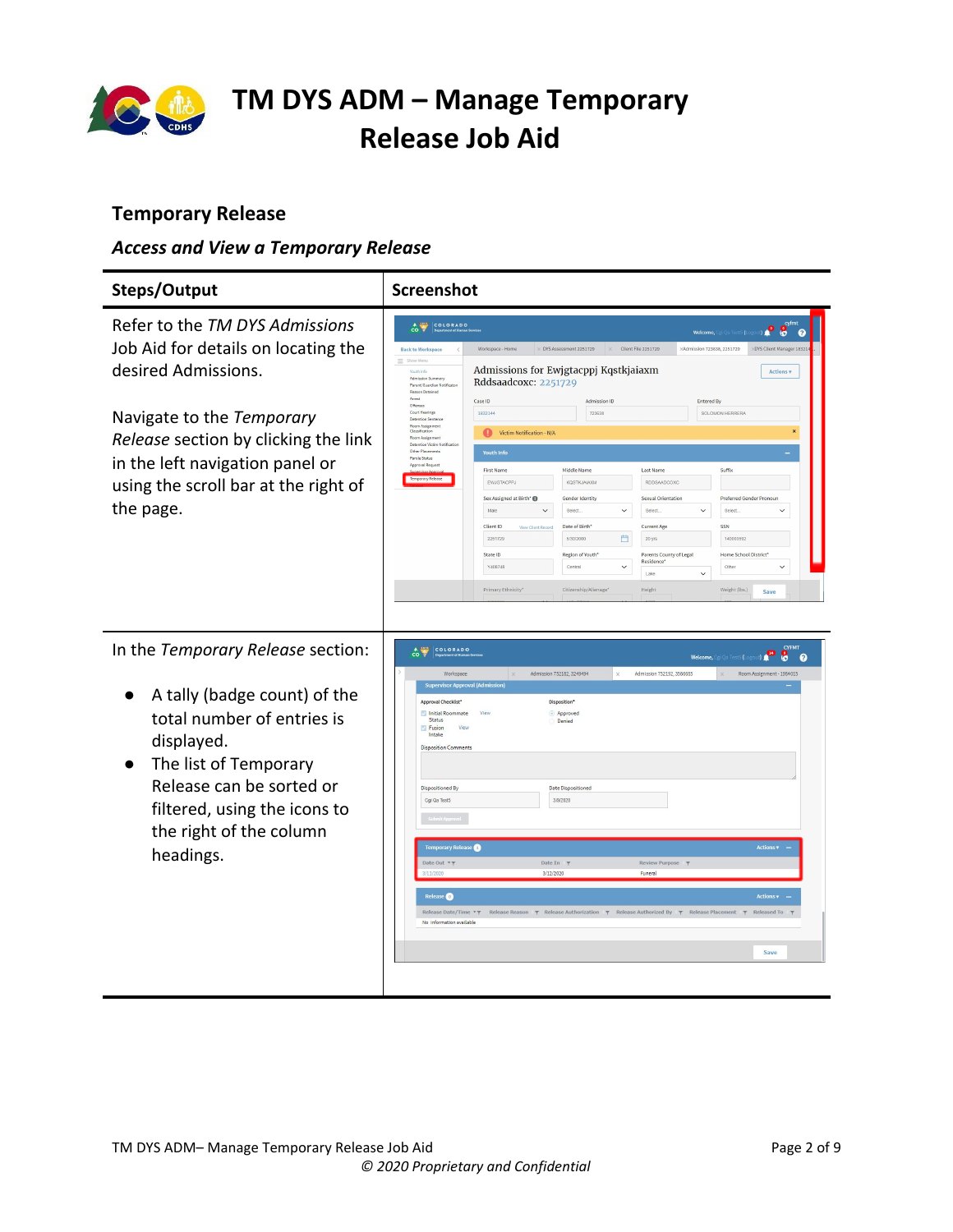

### <span id="page-1-0"></span>**Temporary Release**

### <span id="page-1-1"></span>*Access and View a Temporary Release*

| Steps/Output                                                                                                                                                                                                                                              | <b>Screenshot</b>                                                                                                                                                                                                                                                                                                                                                                                                                                                                                                                                                                                                                                                                                                                                                                                                                                                                                                                                                                                                                                                                                                                                                                                                                                                                                                                                                                                                                                                                                                                                                            |
|-----------------------------------------------------------------------------------------------------------------------------------------------------------------------------------------------------------------------------------------------------------|------------------------------------------------------------------------------------------------------------------------------------------------------------------------------------------------------------------------------------------------------------------------------------------------------------------------------------------------------------------------------------------------------------------------------------------------------------------------------------------------------------------------------------------------------------------------------------------------------------------------------------------------------------------------------------------------------------------------------------------------------------------------------------------------------------------------------------------------------------------------------------------------------------------------------------------------------------------------------------------------------------------------------------------------------------------------------------------------------------------------------------------------------------------------------------------------------------------------------------------------------------------------------------------------------------------------------------------------------------------------------------------------------------------------------------------------------------------------------------------------------------------------------------------------------------------------------|
| Refer to the TM DYS Admissions<br>Job Aid for details on locating the<br>desired Admissions.<br>Navigate to the Temporary<br>Release section by clicking the link<br>in the left navigation panel or<br>using the scroll bar at the right of<br>the page. | CO V COLORADO<br>ം ∘ 8<br>Welcome, Cgi Qa Test5 (Li<br>$\bullet$<br>Client File 2251729<br>: Admission 723638, 2251729<br><b>Back to Workspace</b><br>Workspace - Hom<br>DYS Assessment 2251729<br><b>XDYS Client Manager 1832</b><br>= Show Ment<br>Admissions for Ewigtacppj Kqstkjaiaxm<br><b>Actions v</b><br><b>Youth Info</b><br>Admission Summan<br>Rddsaadcoxc: 2251729<br>Parent/Guardian Notificate<br>Reason Detained<br>Arrest<br>Case ID<br><b>Admission ID</b><br>Entered By<br>Offenses<br>Court Hearings<br>1832144<br>723638<br>SOLOMON HERRERA<br><b>Detention Senteno</b><br>Room Assigner<br>Classification<br>Victim Notification - N/A<br>Room Assign<br><b>Detention Wctim Noti</b><br>Other Placements<br><b>Youth Info</b><br>Parole Status<br>Approval Reques<br><b>First Name</b><br>Middle Name<br>Last Name<br>Suffix<br>Temporary Release<br>EWJGTACPPJ<br><b>KOSTKJAIAXI</b><br>RDDSAADCOXO<br>Sex Assigned at Birth* ®<br>Gender Identity<br><b>Sexual Orientation</b><br>Preferred Gender Pronour<br>Male<br>$\checkmark$<br>Select.<br>$\checkmark$<br>Select<br>$\checkmark$<br>Select.<br>$\checkmark$<br>Client ID<br>Date of Birth'<br><b>Current Age</b><br>SSN<br><b>View Client Recor</b><br>凸<br>2251729<br>140003592<br>5/30/2000<br>20 yrs<br>State ID<br>Region of Youth*<br>Parents County of Legal<br>Home School District*<br>Residence <sup>*</sup><br>$\checkmark$<br>Y408748<br>Central<br>$\check{ }$<br>Other<br>Lake<br>$\checkmark$<br>Primary Ethnicity*<br>Citizenship/Alienage*<br>Height<br>Weight (lbs.)<br>Save |
| In the Temporary Release section:<br>A tally (badge count) of the<br>total number of entries is<br>displayed.<br>The list of Temporary<br>Release can be sorted or<br>filtered, using the icons to<br>the right of the column<br>headings.                | <b>CYFMT</b><br>COLORADO<br>$\overrightarrow{co}$<br>ů<br>Welcome,<br>5 (Lo<br>0 A<br>$\boldsymbol{\Omega}$<br>Admission 752182, 3249494<br>Admission 752192, 3566685<br>Room Assignment - 1984015<br>Workspace<br><b>Supervisor Approval (Admission)</b><br>Approval Checklist*<br>Disposition*<br>Initial Roommate<br>Approved<br>View<br>Status<br>Denied<br><b>Fusion</b><br>View<br>Intake<br><b>Disposition Comments</b><br><b>Dispositioned By</b><br><b>Date Dispositioned</b><br>Cgi Qa Test5<br>3/9/2020<br>Temporary Release<br>Actions <b>v</b><br>Date Out TT<br>Date In $\tau$<br>Review Purpose<br>3/12/2020<br>Funeral<br>Release <sup>O</sup><br><b>Actions</b><br>Release Date/Time <b>TT</b> Release Reason <b>T</b> Release Authorization <b>T</b> Release Authorized By <b>T</b> Release Placement <b>T</b><br>Released To<br>No information available<br>Save                                                                                                                                                                                                                                                                                                                                                                                                                                                                                                                                                                                                                                                                                          |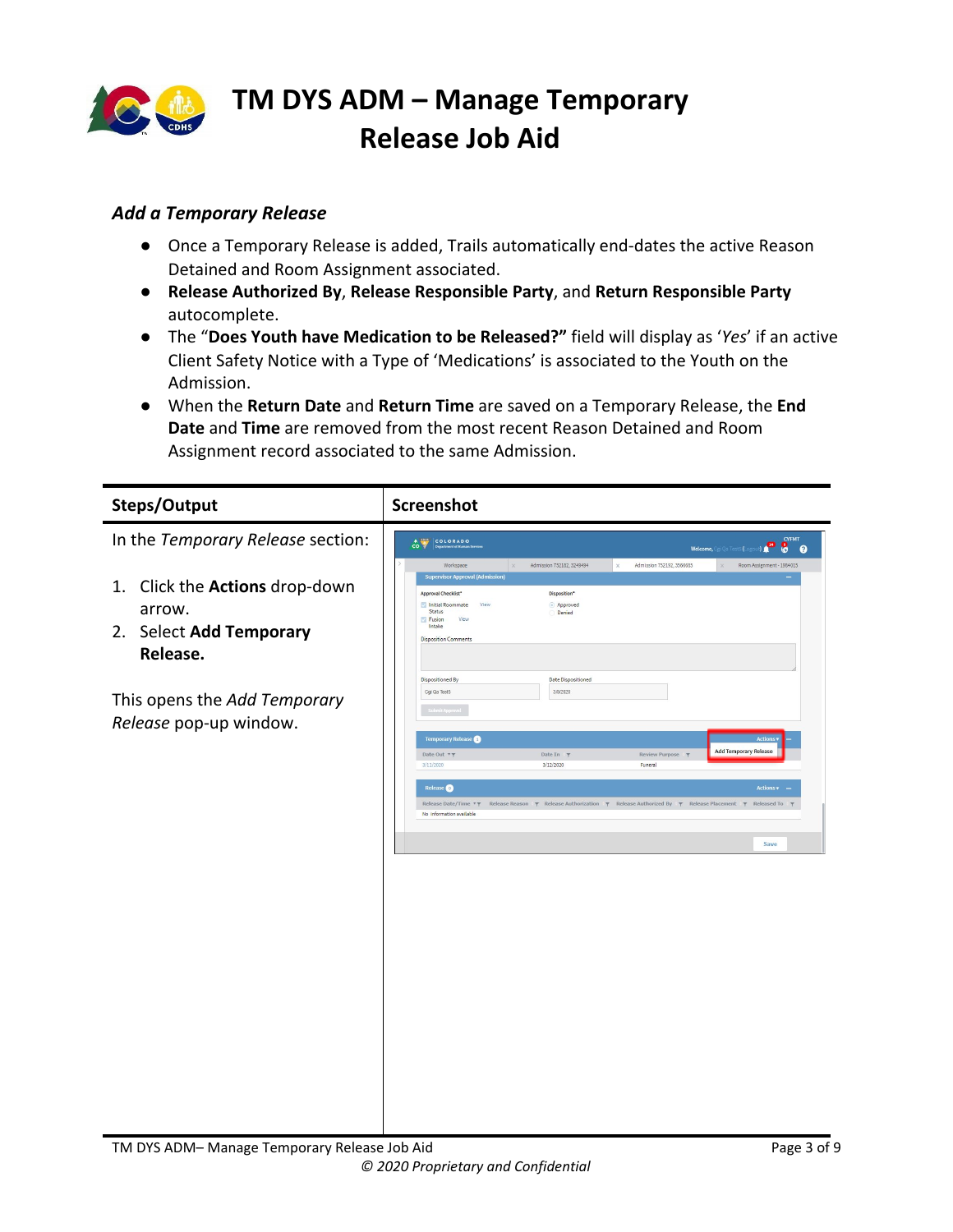

### <span id="page-2-0"></span>*Add a Temporary Release*

- Once a Temporary Release is added, Trails automatically end-dates the active Reason Detained and Room Assignment associated.
- **Release Authorized By**, **Release Responsible Party**, and **Return Responsible Party** autocomplete.
- The "**Does Youth have Medication to be Released?"** field will display as '*Yes*' if an active Client Safety Notice with a Type of 'Medications' is associated to the Youth on the Admission.
- When the **Return Date** and **Return Time** are saved on a Temporary Release, the **End Date** and **Time** are removed from the most recent Reason Detained and Room Assignment record associated to the same Admission.

| Steps/Output                                                                       | <b>Screenshot</b>                                                                                                                                                                                                                                                                                                      |
|------------------------------------------------------------------------------------|------------------------------------------------------------------------------------------------------------------------------------------------------------------------------------------------------------------------------------------------------------------------------------------------------------------------|
| In the Temporary Release section:                                                  | <b>CYFMT</b><br>$\frac{1}{100}$<br>8 <sub>o</sub><br>r۴<br>Welcome, Cgi Qa Test5 (Lo                                                                                                                                                                                                                                   |
| Click the Actions drop-down<br>1.<br>arrow.<br>2. Select Add Temporary<br>Release. | Admission 752192, 3566685<br>Admission 752182, 3249494<br>Workspace<br>Room Assignment - 1984015<br><b>Supervisor Approval (Admission)</b><br>Approval Checklist*<br>Disposition*<br>Initial Roommate<br>View<br>Approved<br>Status<br><b>Denied</b><br><b>Fusion</b><br>View<br>Intake<br><b>Disposition Comments</b> |
| This opens the Add Temporary<br>Release pop-up window.                             | <b>Date Dispositioned</b><br>Dispositioned By<br>Cgi Qa Test5<br>3/9/2020<br>Submit Approval<br><b>Temporary Release</b>                                                                                                                                                                                               |
|                                                                                    | <b>Add Temporary Release</b><br>Date Out<br>Date In<br>Review Purpose \\r<br>3/12/2020<br>3/11/2020<br>Funeral                                                                                                                                                                                                         |
|                                                                                    | Release Date/Time <b>* T</b> Release Reason <b>\T</b> Release Authorization <b>\T</b> Release Authorized By \T Release Placement \T Released To<br>No information available<br>Save                                                                                                                                    |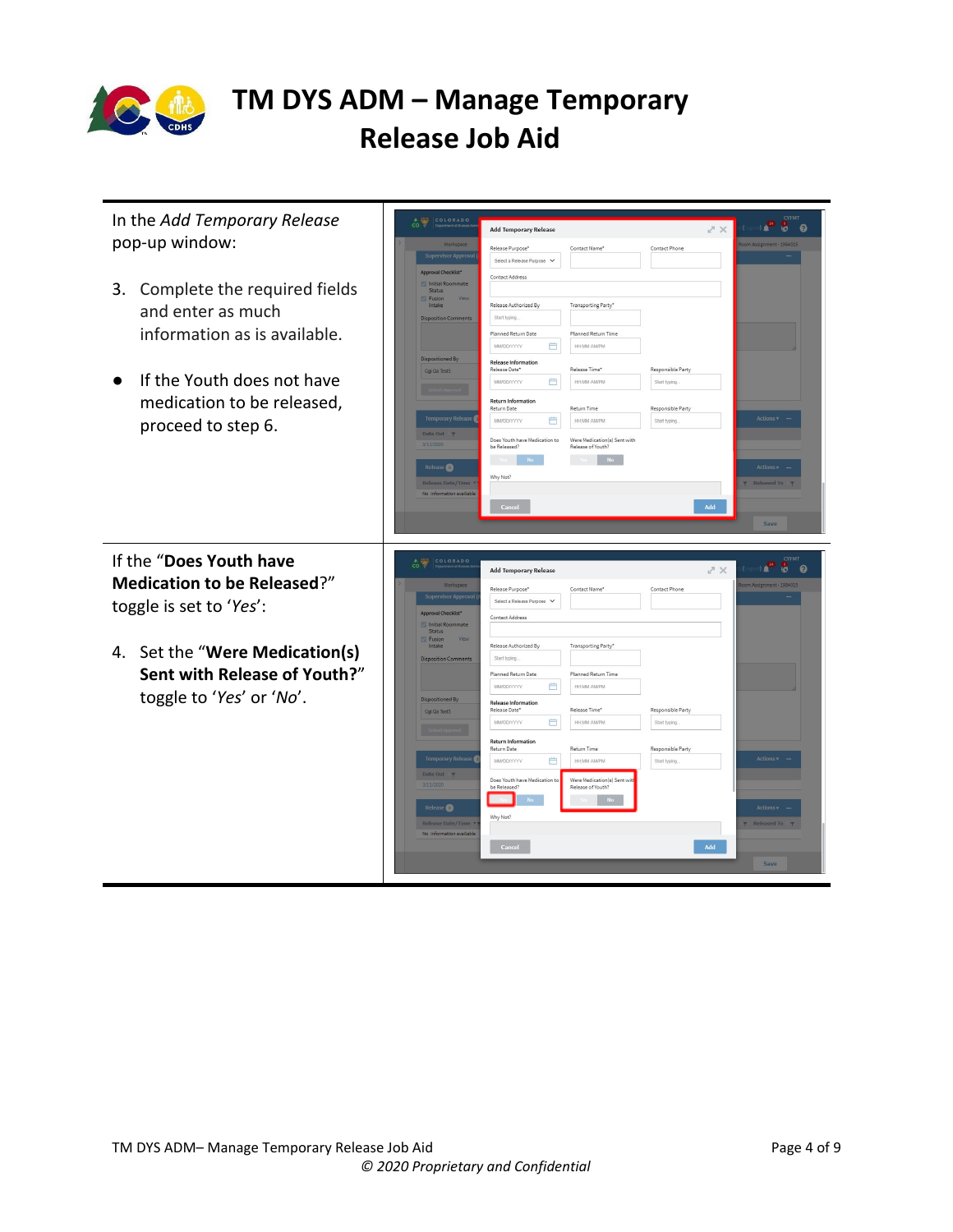

| In the Add Temporary Release<br>pop-up window:<br>3. Complete the required fields<br>and enter as much<br>information as is available.<br>If the Youth does not have<br>medication to be released, | COLORADO<br>Workspace<br><b>Supervisor Approval</b><br>Approval Checklist*<br>Initial Roommate<br>Status<br>Fusion<br>Intake<br><b>Disposition Comments</b><br>Dispositioned By<br>Cgi Qa Test5                                             | <b>Add Temporary Release</b><br>Release Purpose*<br>Select a Release Purpose V<br>Contact Address<br>Release Authorized By<br>Start typing.<br>Planned Return Date<br>曲<br>MMDD/YYYY<br><b>Release Information</b><br>Release Date*<br>曲<br>MMDD/YYYY<br><b>Return Information</b><br>Return Date | Contact Name*<br>Transporting Party*<br>Planned Return Time<br><b>HH:MM AMPM</b><br>Release Time*<br><b>HRMA AMPM</b><br>Return Time                                                           | $X \times$<br>Contact Phone<br>Responsible Party<br>Start typing.<br>Responsible Party    | <b>CYFMT</b><br><b>U.S.</b><br>$\bullet$ $\bullet$<br>Room Assignment - 1984015                                                          |
|----------------------------------------------------------------------------------------------------------------------------------------------------------------------------------------------------|---------------------------------------------------------------------------------------------------------------------------------------------------------------------------------------------------------------------------------------------|---------------------------------------------------------------------------------------------------------------------------------------------------------------------------------------------------------------------------------------------------------------------------------------------------|------------------------------------------------------------------------------------------------------------------------------------------------------------------------------------------------|-------------------------------------------------------------------------------------------|------------------------------------------------------------------------------------------------------------------------------------------|
| proceed to step 6.<br>If the "Does Youth have<br><b>Medication to be Released?"</b><br>toggle is set to 'Yes':                                                                                     | <b>Temporary Release</b><br>Date Out <b>T</b><br>3/11/2020<br>Release <sup>O</sup><br><b>Release Date/Time</b><br>No information available<br>COLORADO<br>Workspace<br><b>Supervisor Approva</b><br>Approval Checklist*<br>Initial Roommate | 曲<br><b>MMDD/YYYY</b><br>Does Youth have Medication to<br>be Released?<br>No.<br>Why Not?<br>Cancel<br><b>Add Temporary Release</b><br>Release Purpose*<br>Select a Release Purpose V<br>Contact Address                                                                                          | <b>HH:MM AM/PM</b><br>Were Medication(s) Sent with<br>Release of Youth?<br>N <sub>O</sub><br>Contact Name*                                                                                     | Start typing.<br>Add<br>$\nearrow \times$<br>Contact Phone                                | Actions <b>v</b><br>Actions v<br><b>T</b> Released To <b>T</b><br>Save<br><b>CYFMT</b><br>$\mathbf{r}$<br>60<br>oom Assignment - 1984015 |
| 4. Set the "Were Medication(s)<br>Sent with Release of Youth?"<br>toggle to 'Yes' or 'No'.                                                                                                         | Status<br>Fusion<br>Intake<br><b>Disposition Comments</b><br><b>Dispositioned By</b><br>Cgi Qa Test5<br><b>Temporary Release</b><br>Date Out T<br>3/11/2020<br>Release <sup>O</sup><br><b>Release Date/Time</b><br>No information available | Release Authorized By<br>Start typing.<br>Planned Return Date<br><b>MMDD/YYYY</b><br>曲<br>Release Information<br>Release Date*<br>曲<br>MMDD/YYYY<br><b>Return Information</b><br>Return Date<br>曲<br>MMDD/YYYY<br>Does Youth have Medication to<br>be Released?<br>Why Not?<br>Cancel             | Transporting Party*<br>Planned Return Time<br><b>HH:MM AMPM</b><br>Release Time*<br><b>HH:MM AMPM</b><br><b>Return Time</b><br>HH:MM AM/PM<br>Were Medication(s) Sent wit<br>Release of Youth? | Responsible Party<br>Start typing.<br>Responsible Party<br>Start typing<br>$\mathbf{Add}$ | Actions v<br>Actions +<br>Released To T                                                                                                  |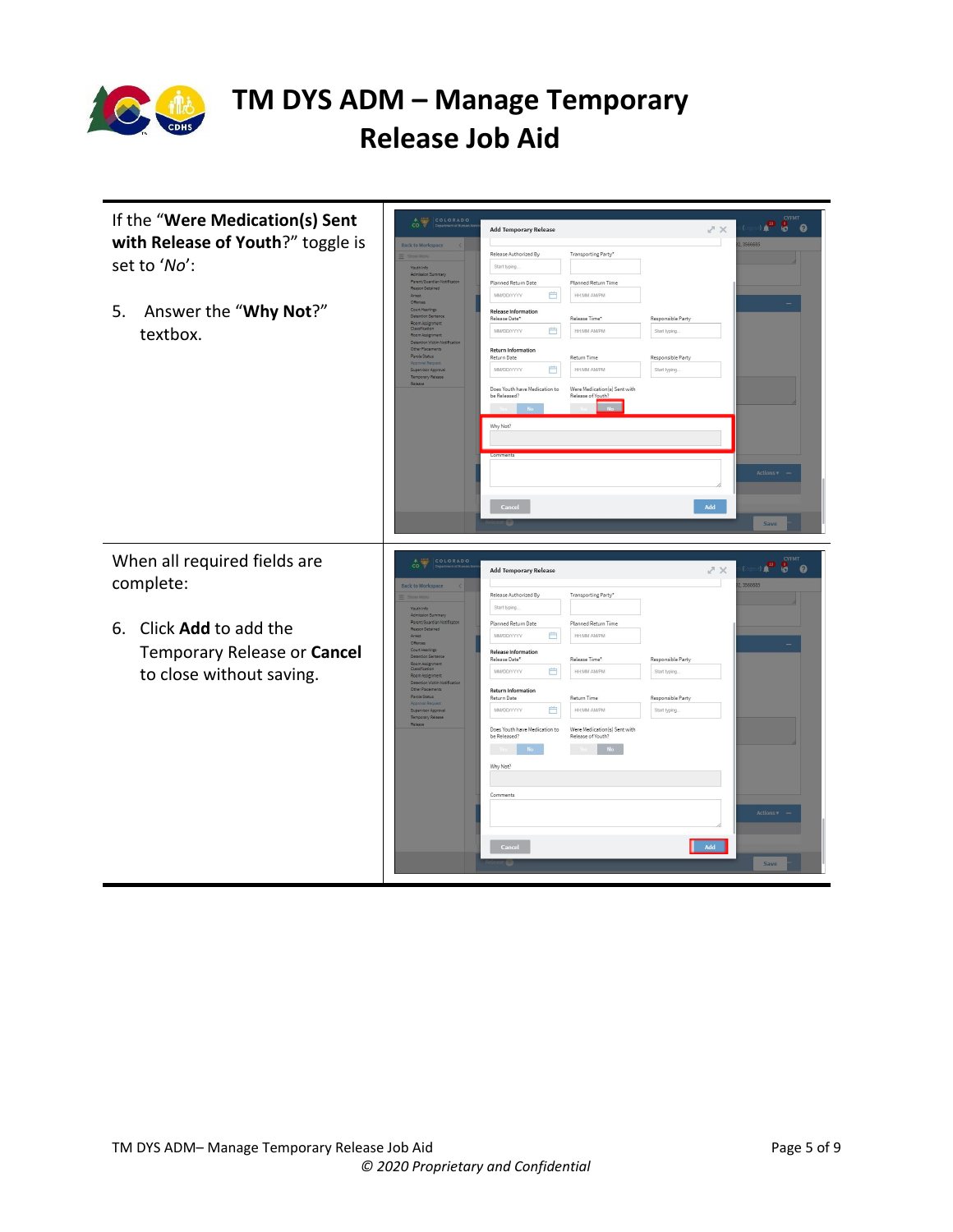

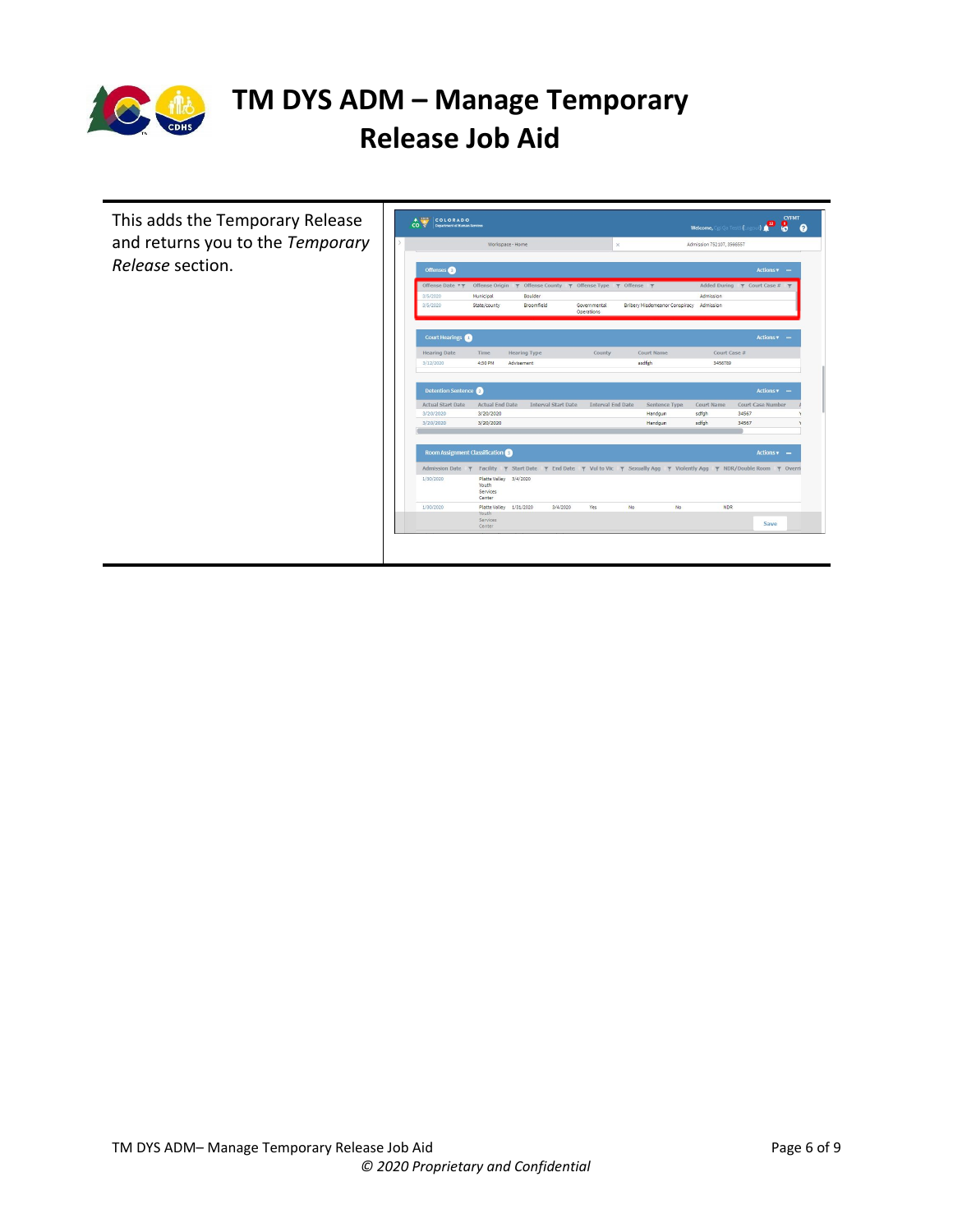

This adds the Temporary Release and returns you to the *Temporary Release* section.

|                                        |                                                              | Workspace - Home        |                            |                                                                                                                   | $\times$ |                                |    | Admission 752107, 3566557                                           |       |                                |  |
|----------------------------------------|--------------------------------------------------------------|-------------------------|----------------------------|-------------------------------------------------------------------------------------------------------------------|----------|--------------------------------|----|---------------------------------------------------------------------|-------|--------------------------------|--|
| Offenses                               |                                                              |                         |                            |                                                                                                                   |          |                                |    |                                                                     |       | $Actions$ $\mathbf{v}$ $-$     |  |
| Offense Date $\mathbf{v}$ $\mathbf{y}$ |                                                              |                         |                            | Offense Origin $\forall$ Offense County $\forall$ Offense Type $\forall$ Offense $\forall$                        |          |                                |    | Added During $\blacktriangledown$ Court Case # $\blacktriangledown$ |       |                                |  |
| 3/5/2020                               | Municipal                                                    | Boulder                 |                            |                                                                                                                   |          |                                |    | Admission                                                           |       |                                |  |
| 3/5/2020                               | State/county                                                 | Broomfield              |                            | Governmental<br><b>Operations</b>                                                                                 |          | Bribery Misdemeanor Conspiracy |    | Admission                                                           |       |                                |  |
| <b>Court Hearings</b>                  |                                                              |                         |                            |                                                                                                                   |          |                                |    |                                                                     |       | $\text{Actions } \mathbf{v}$ - |  |
| <b>Hearing Date</b>                    | Time.                                                        | <b>Hearing Type</b>     |                            | County                                                                                                            |          | Court Name                     |    | Court Case #                                                        |       |                                |  |
| 3/12/2020                              | 4:30 PM                                                      | Advisement              |                            |                                                                                                                   |          | asdfeh                         |    | 3456789                                                             |       |                                |  |
| <b>Actual Start Date</b><br>3/20/2020  | <b>Actual End Date</b><br>3/20/2020                          |                         | <b>Interval Start Date</b> | <b>Interval End Date</b>                                                                                          |          | Sentence Type<br>Handgun       |    | Court Name<br>sdfgh                                                 | 34567 | Court Case Number              |  |
| 3/20/2020                              | 3/20/2020                                                    |                         |                            |                                                                                                                   |          | Handqun                        |    | sdfgh                                                               | 34567 |                                |  |
| <b>Room Assignment Classification</b>  |                                                              |                         |                            |                                                                                                                   |          |                                |    |                                                                     |       | <b>Actions v</b>               |  |
| Admission Date T                       |                                                              |                         |                            | Facility \ Start Date \ F End Date \ Y Vul to Vic \ F Sexually Agg \ Y Violently Agg \ T NDR/Double Room \ Overri |          |                                |    |                                                                     |       |                                |  |
| 1/30/2020                              | Platte Valley 3/4/2020<br>Youth<br><b>Services</b><br>Center |                         |                            |                                                                                                                   |          |                                |    |                                                                     |       |                                |  |
|                                        |                                                              | Platte Valley 1/31/2020 | 3/4/2020                   | Yes                                                                                                               | No       |                                | No | <b>NDR</b>                                                          |       |                                |  |
| 1/30/2020                              | Youth<br>Services                                            |                         |                            |                                                                                                                   |          |                                |    |                                                                     |       | Save                           |  |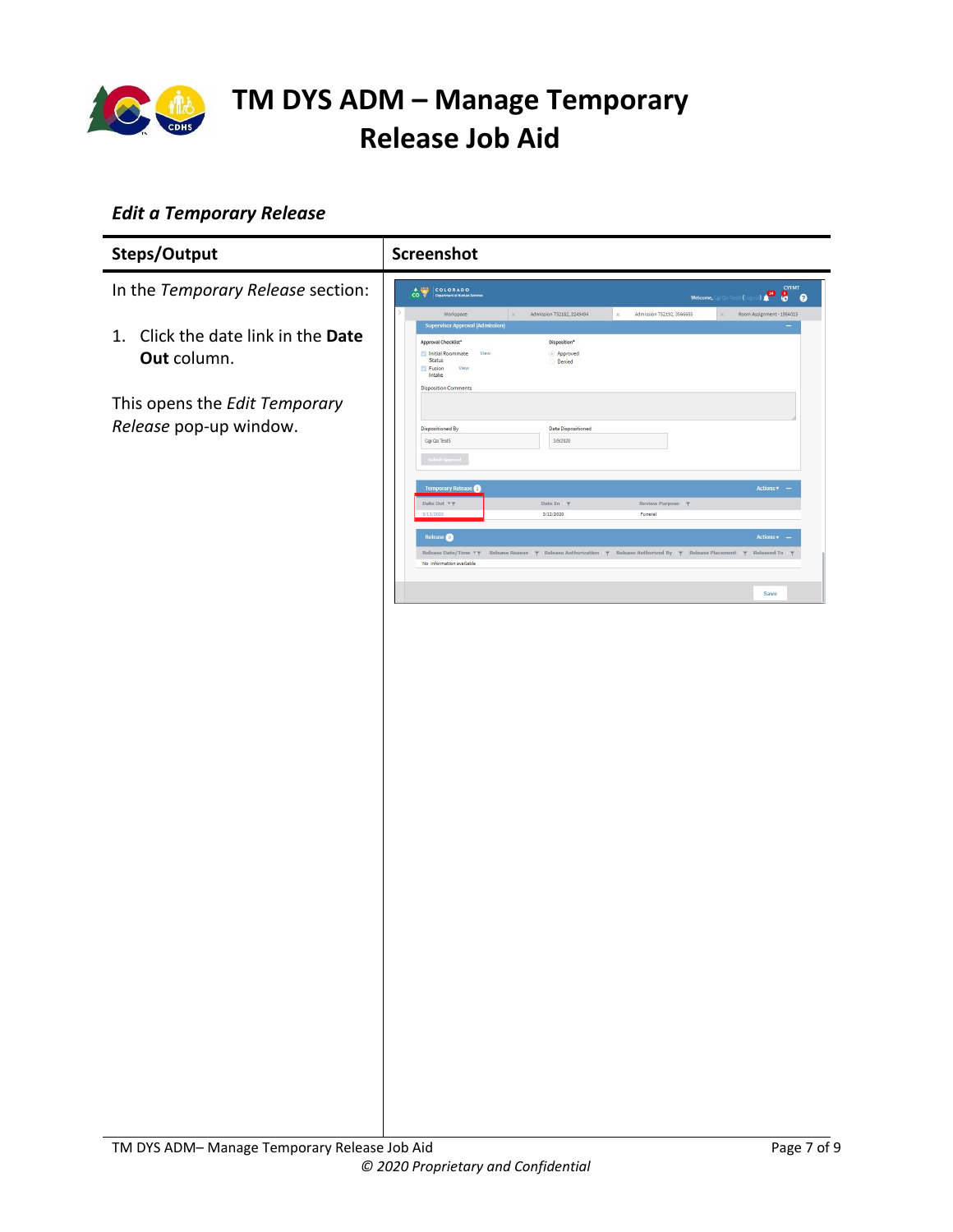

### <span id="page-6-0"></span>*Edit a Temporary Release*

| Steps/Output                                            | Screenshot                                                                                                                                                                                                                                                                                                                         |  |  |  |  |
|---------------------------------------------------------|------------------------------------------------------------------------------------------------------------------------------------------------------------------------------------------------------------------------------------------------------------------------------------------------------------------------------------|--|--|--|--|
| In the Temporary Release section:                       | <b>CYFMT</b><br>不安<br>COLORADO<br>8<br>$\overline{co}$<br>Department of Human Services<br>$\boldsymbol{\Omega}$<br>Welcome, Cgi Qa Test5 (Lo                                                                                                                                                                                       |  |  |  |  |
| Click the date link in the Date<br>1.<br>Out column.    | Admission 752182, 3249494<br>Admission 752192, 3566685<br>Workspace<br>Room Assignment - 1984015<br>$\infty$<br><b>Supervisor Approval (Admission)</b><br>Approval Checklist*<br>Disposition'<br>Initial Roommate<br>View<br>Approved<br><b>Status</b><br>Denied<br>View<br><b>Fusion</b><br>Intake<br><b>Disposition Comments</b> |  |  |  |  |
| This opens the Edit Temporary<br>Release pop-up window. | <b>Date Dispositioned</b><br>Dispositioned By<br>3/9/2020<br>Cgi Qa Test5<br>ubmit Appro                                                                                                                                                                                                                                           |  |  |  |  |
|                                                         | <b>Temporary Release</b><br>Actions v –<br>Date Out <b>TT</b><br>Date In <b>T</b><br>Review Purpose<br>3/11/2020<br>3/12/2020<br>Funeral                                                                                                                                                                                           |  |  |  |  |
|                                                         | Release <sup>O</sup><br>Actions v<br>Release Date/Time <b>TT</b><br>Release Reason $\gamma$ Release Authorization $\gamma$ Release Authorized By $\gamma$ Release Placement $\gamma$ Released To<br>No information available                                                                                                       |  |  |  |  |
|                                                         | Save                                                                                                                                                                                                                                                                                                                               |  |  |  |  |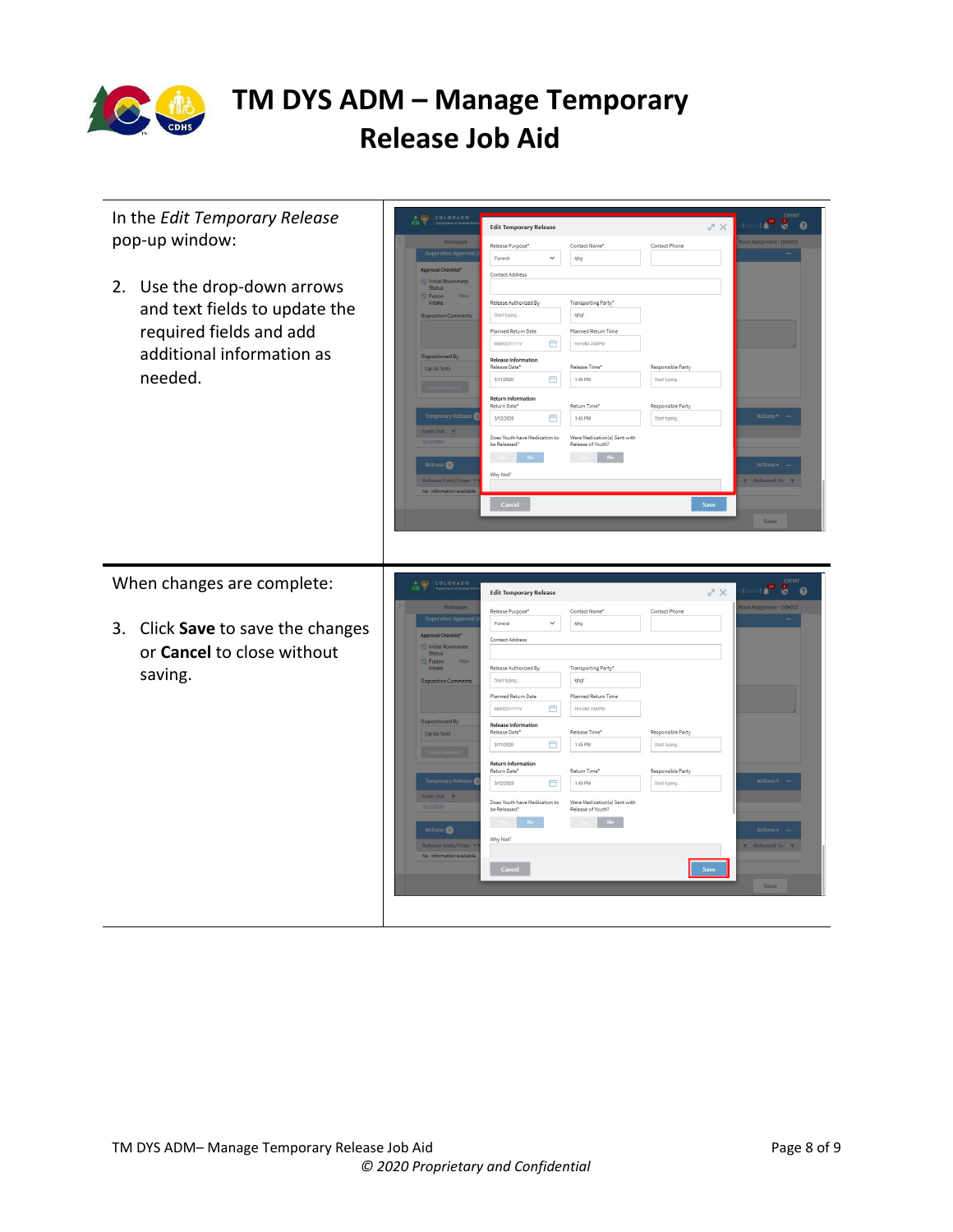

| In the Edit Temporary Release<br>pop-up window:                                                                                 | COLORADO<br>$\frac{1}{100}$<br>Workspace                                                                                                                                                                                                         | <b>Edit Temporary Release</b><br>Release Purpose*<br>Contact Name*                                                                                                                                                                                                                                                                                                                                                                                                                                      | CYFMT<br><b>DATE</b><br><b>80</b><br>$\times$ $\sim$<br>om Assignment - 1984015<br>Contact Phone                                         |
|---------------------------------------------------------------------------------------------------------------------------------|--------------------------------------------------------------------------------------------------------------------------------------------------------------------------------------------------------------------------------------------------|---------------------------------------------------------------------------------------------------------------------------------------------------------------------------------------------------------------------------------------------------------------------------------------------------------------------------------------------------------------------------------------------------------------------------------------------------------------------------------------------------------|------------------------------------------------------------------------------------------------------------------------------------------|
|                                                                                                                                 | <b>Supervisor Approval</b><br>Approval Checklist*<br>Initial Roommate                                                                                                                                                                            | $\check{~}$<br>Funeral<br>kjhg<br>Contact Address                                                                                                                                                                                                                                                                                                                                                                                                                                                       |                                                                                                                                          |
| 2. Use the drop-down arrows<br>and text fields to update the<br>required fields and add<br>additional information as<br>needed. | Status<br>Fusion<br>Intake<br><b>Disposition Comments</b><br><b>Dispositioned By</b><br>Cgi Qa Test5<br><b>Temporary Release</b><br>Date Out $\psi$<br>3/11/2020<br>Release <sup>O</sup><br><b>Release Date/Time</b><br>No information available | Release Authorized By<br>Transporting Party*<br>Start typing.<br>kjhgf<br>Planned Return Time<br>Planned Return Date<br>曲<br><b>MMDD/YYYY</b><br><b>HR:MM AMPM</b><br><b>Release Information</b><br>Release Time'<br>Release Date*<br>曲<br>1:45 PM<br>3/11/2020<br><b>Return Information</b><br>Return Time*<br>Return Date*<br>曲<br>1:45 PM<br>3/12/2020<br>Were Medication(s) Sent with<br>Does Youth have Medication to<br>Release of Youth?<br>be Released?<br>N <sub>o</sub><br>Why Not?<br>Cancel | Responsible Party<br>Start typing.<br>Responsible Party<br>Actions v<br>Start typing.<br>Actions +<br><b>Released To</b><br>Save<br>Save |
| When changes are complete:                                                                                                      |                                                                                                                                                                                                                                                  |                                                                                                                                                                                                                                                                                                                                                                                                                                                                                                         |                                                                                                                                          |
|                                                                                                                                 | COLORADO<br>$\hat{c}$                                                                                                                                                                                                                            | <b>Edit Temporary Release</b>                                                                                                                                                                                                                                                                                                                                                                                                                                                                           | <b>CYFMT</b><br>. <mark>. .</mark> .<br>スペ                                                                                               |
| 3. Click Save to save the changes<br>or Cancel to close without                                                                 | Workspace<br><b>Supervisor Approv</b><br>Approval Checklist*<br>Initial Roommate<br>Status                                                                                                                                                       | Release Purpose*<br>Contact Name*<br>Funeral<br>$\check{~}$<br>kjhg<br>Contact Address                                                                                                                                                                                                                                                                                                                                                                                                                  | om Assignment - 1984015<br>Contact Phone                                                                                                 |
| saving.                                                                                                                         | Fusion<br>Intake<br><b>Disposition Comments</b><br>Dispositioned By<br>Cgi Qa Test5                                                                                                                                                              | Release Authorized By<br>Transporting Party*<br>Start typing.<br>kjhgf<br>Planned Return Date<br>Planned Return Time<br>曲<br>MMDD/YYYY<br><b>HH:MM AMPM</b><br><b>Release Information</b><br>Release Date*<br>Release Time"<br>曲<br>1:45 PM<br>3/11/2020<br><b>Return Information</b>                                                                                                                                                                                                                   | Responsible Party<br>Start typing.                                                                                                       |
|                                                                                                                                 | <b>Temporary Release</b><br>Date Out 7<br>3/11/2020<br>Release<br><b>Release Date/Time</b><br>No information available                                                                                                                           | Return Time'<br>Return Date*<br>曲<br>3/12/2020<br>1:45 PM<br>Does Youth have Medication to<br>Were Medication(s) Sent with<br>be Released?<br>Release of Youth?<br>N <sub>O</sub><br>No.<br>Why Not?<br>Cancel                                                                                                                                                                                                                                                                                          | Responsible Party<br>Actions v -<br>Start typing.<br>Actions v<br><b>T</b> Released To<br>Save<br>Save                                   |